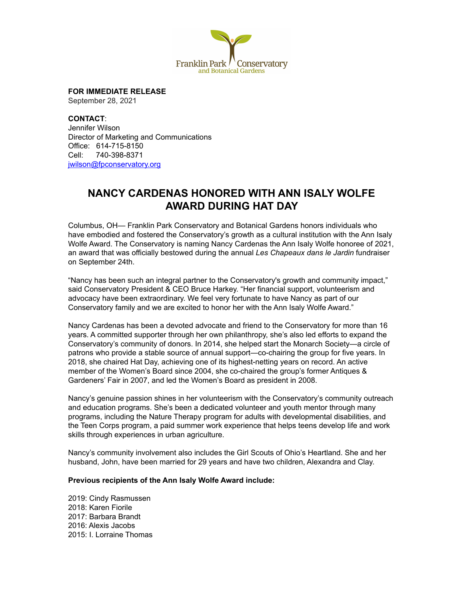

**FOR IMMEDIATE RELEASE**

September 28, 2021

**CONTACT**: Jennifer Wilson Director of Marketing and Communications Office: 614-715-8150 Cell: 740-398-8371 [jwilson@fpconservatory.org](mailto:jwilson@fpconservatory.org)

## **NANCY CARDENAS HONORED WITH ANN ISALY WOLFE AWARD DURING HAT DAY**

Columbus, OH— Franklin Park Conservatory and Botanical Gardens honors individuals who have embodied and fostered the Conservatory's growth as a cultural institution with the Ann Isaly Wolfe Award. The Conservatory is naming Nancy Cardenas the Ann Isaly Wolfe honoree of 2021, an award that was officially bestowed during the annual *Les Chapeaux dans le Jardin* fundraiser on September 24th.

"Nancy has been such an integral partner to the Conservatory's growth and community impact," said Conservatory President & CEO Bruce Harkey. "Her financial support, volunteerism and advocacy have been extraordinary. We feel very fortunate to have Nancy as part of our Conservatory family and we are excited to honor her with the Ann Isaly Wolfe Award."

Nancy Cardenas has been a devoted advocate and friend to the Conservatory for more than 16 years. A committed supporter through her own philanthropy, she's also led efforts to expand the Conservatory's community of donors. In 2014, she helped start the Monarch Society—a circle of patrons who provide a stable source of annual support—co-chairing the group for five years. In 2018, she chaired Hat Day, achieving one of its highest-netting years on record. An active member of the Women's Board since 2004, she co-chaired the group's former Antiques & Gardeners' Fair in 2007, and led the Women's Board as president in 2008.

Nancy's genuine passion shines in her volunteerism with the Conservatory's community outreach and education programs. She's been a dedicated volunteer and youth mentor through many programs, including the Nature Therapy program for adults with developmental disabilities, and the Teen Corps program, a paid summer work experience that helps teens develop life and work skills through experiences in urban agriculture.

Nancy's community involvement also includes the Girl Scouts of Ohio's Heartland. She and her husband, John, have been married for 29 years and have two children, Alexandra and Clay.

## **Previous recipients of the Ann Isaly Wolfe Award include:**

2019: Cindy Rasmussen 2018: Karen Fiorile 2017: Barbara Brandt 2016: Alexis Jacobs 2015: I. Lorraine Thomas